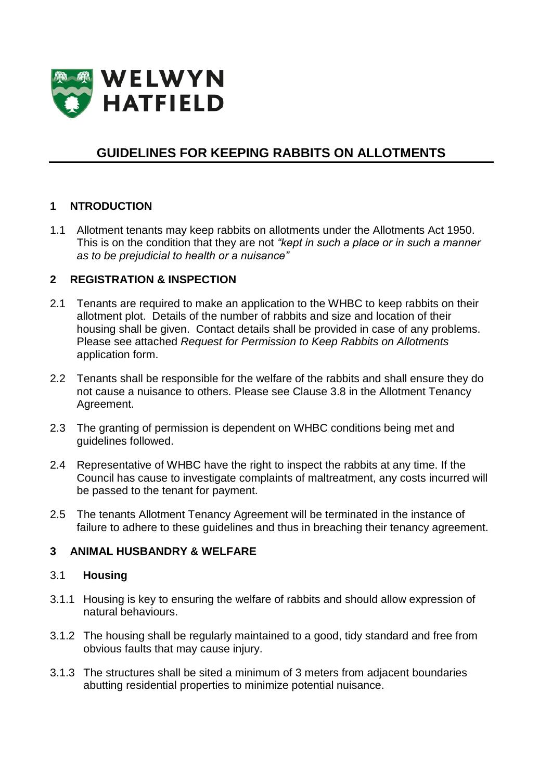

# **GUIDELINES FOR KEEPING RABBITS ON ALLOTMENTS**

### **1 NTRODUCTION**

1.1 Allotment tenants may keep rabbits on allotments under the Allotments Act 1950. This is on the condition that they are not *"kept in such a place or in such a manner as to be prejudicial to health or a nuisance"*

#### **2 REGISTRATION & INSPECTION**

- 2.1 Tenants are required to make an application to the WHBC to keep rabbits on their allotment plot. Details of the number of rabbits and size and location of their housing shall be given. Contact details shall be provided in case of any problems. Please see attached *Request for Permission to Keep Rabbits on Allotments* application form.
- 2.2 Tenants shall be responsible for the welfare of the rabbits and shall ensure they do not cause a nuisance to others. Please see Clause 3.8 in the Allotment Tenancy Agreement.
- 2.3 The granting of permission is dependent on WHBC conditions being met and guidelines followed.
- 2.4 Representative of WHBC have the right to inspect the rabbits at any time. If the Council has cause to investigate complaints of maltreatment, any costs incurred will be passed to the tenant for payment.
- 2.5 The tenants Allotment Tenancy Agreement will be terminated in the instance of failure to adhere to these guidelines and thus in breaching their tenancy agreement.

#### **3 ANIMAL HUSBANDRY & WELFARE**

#### 3.1 **Housing**

- 3.1.1 Housing is key to ensuring the welfare of rabbits and should allow expression of natural behaviours.
- 3.1.2 The housing shall be regularly maintained to a good, tidy standard and free from obvious faults that may cause injury.
- 3.1.3 The structures shall be sited a minimum of 3 meters from adjacent boundaries abutting residential properties to minimize potential nuisance.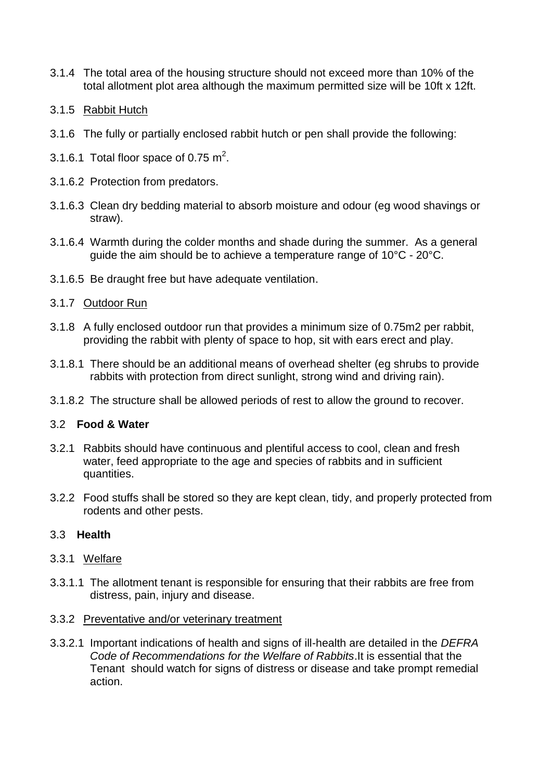- 3.1.4 The total area of the housing structure should not exceed more than 10% of the total allotment plot area although the maximum permitted size will be 10ft x 12ft.
- 3.1.5 Rabbit Hutch
- 3.1.6 The fully or partially enclosed rabbit hutch or pen shall provide the following:
- 3.1.6.1 Total floor space of 0.75  $m^2$ .
- 3.1.6.2 Protection from predators.
- 3.1.6.3 Clean dry bedding material to absorb moisture and odour (eg wood shavings or straw).
- 3.1.6.4 Warmth during the colder months and shade during the summer. As a general guide the aim should be to achieve a temperature range of 10°C - 20°C.
- 3.1.6.5 Be draught free but have adequate ventilation.

#### 3.1.7 Outdoor Run

- 3.1.8 A fully enclosed outdoor run that provides a minimum size of 0.75m2 per rabbit, providing the rabbit with plenty of space to hop, sit with ears erect and play.
- 3.1.8.1 There should be an additional means of overhead shelter (eg shrubs to provide rabbits with protection from direct sunlight, strong wind and driving rain).
- 3.1.8.2 The structure shall be allowed periods of rest to allow the ground to recover.

#### 3.2 **Food & Water**

- 3.2.1 Rabbits should have continuous and plentiful access to cool, clean and fresh water, feed appropriate to the age and species of rabbits and in sufficient quantities.
- 3.2.2 Food stuffs shall be stored so they are kept clean, tidy, and properly protected from rodents and other pests.

#### 3.3 **Health**

- 3.3.1 Welfare
- 3.3.1.1 The allotment tenant is responsible for ensuring that their rabbits are free from distress, pain, injury and disease.
- 3.3.2 Preventative and/or veterinary treatment
- 3.3.2.1 Important indications of health and signs of ill-health are detailed in the *DEFRA Code of Recommendations for the Welfare of Rabbits*.It is essential that the Tenant should watch for signs of distress or disease and take prompt remedial action.